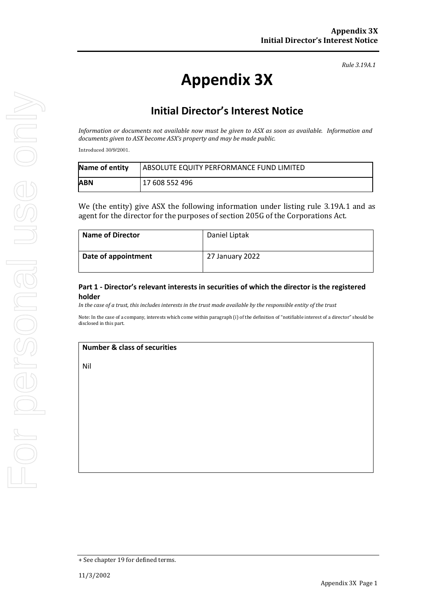*Rule 3.19A.1*

# **Appendix 3X**

## **Initial Director's Interest Notice**

*Information or documents not available now must be given to ASX as soon as available. Information and documents given to ASX become ASX's property and may be made public.*

Introduced 30/9/2001.

| Name of entity | <b>LABSOLUTE EQUITY PERFORMANCE FUND LIMITED</b> |
|----------------|--------------------------------------------------|
| ABN            | 17 608 552 496                                   |

We (the entity) give ASX the following information under listing rule 3.19A.1 and as agent for the director for the purposes of section 205G of the Corporations Act.

| <b>Name of Director</b> | Daniel Liptak   |
|-------------------------|-----------------|
| Date of appointment     | 27 January 2022 |

#### **Part 1 - Director's relevant interests in securities of which the director is the registered holder**

*In the case of a trust, this includes interests in the trust made available by the responsible entity of the trust*

Note: In the case of a company, interests which come within paragraph (i) of the definition of "notifiable interest of a director" should be disclosed in this part.

#### **Number & class of securities**

Nil

<sup>+</sup> See chapter 19 for defined terms.